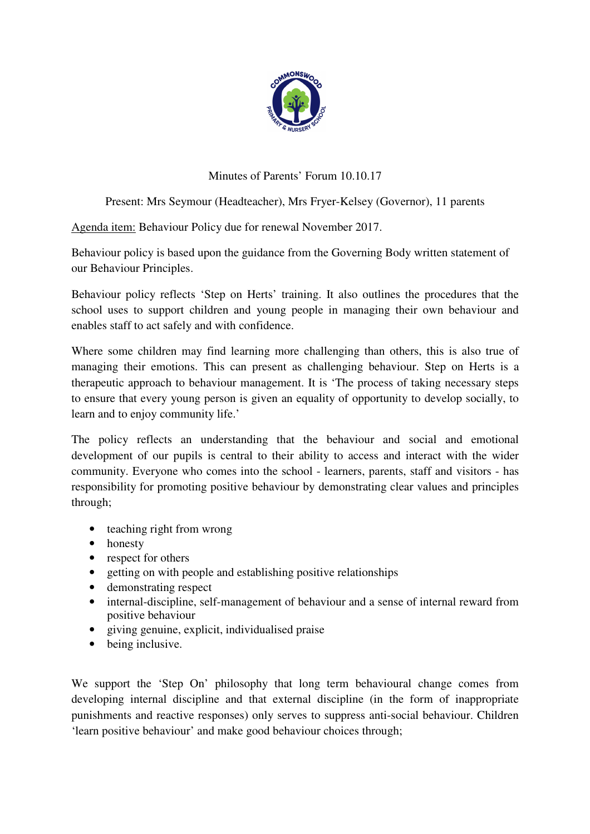

## Minutes of Parents' Forum 10.10.17

## Present: Mrs Seymour (Headteacher), Mrs Fryer-Kelsey (Governor), 11 parents

Agenda item: Behaviour Policy due for renewal November 2017.

Behaviour policy is based upon the guidance from the Governing Body written statement of our Behaviour Principles.

Behaviour policy reflects 'Step on Herts' training. It also outlines the procedures that the school uses to support children and young people in managing their own behaviour and enables staff to act safely and with confidence.

Where some children may find learning more challenging than others, this is also true of managing their emotions. This can present as challenging behaviour. Step on Herts is a therapeutic approach to behaviour management. It is 'The process of taking necessary steps to ensure that every young person is given an equality of opportunity to develop socially, to learn and to enjoy community life.'

The policy reflects an understanding that the behaviour and social and emotional development of our pupils is central to their ability to access and interact with the wider community. Everyone who comes into the school - learners, parents, staff and visitors - has responsibility for promoting positive behaviour by demonstrating clear values and principles through;

- teaching right from wrong
- honesty
- 
- respect for others<br>• getting on with per • getting on with people and establishing positive relationships
- demonstrating respect
- internal-discipline, self-management of behaviour and a sense of internal reward from positive behaviour
- giving genuine, explicit, individualised praise
- being inclusive.

We support the 'Step On' philosophy that long term behavioural change comes from developing internal discipline and that external discipline (in the form of inappropriate punishments and reactive responses) only serves to suppress anti-social behaviour. Children 'learn positive behaviour' and make good behaviour choices through;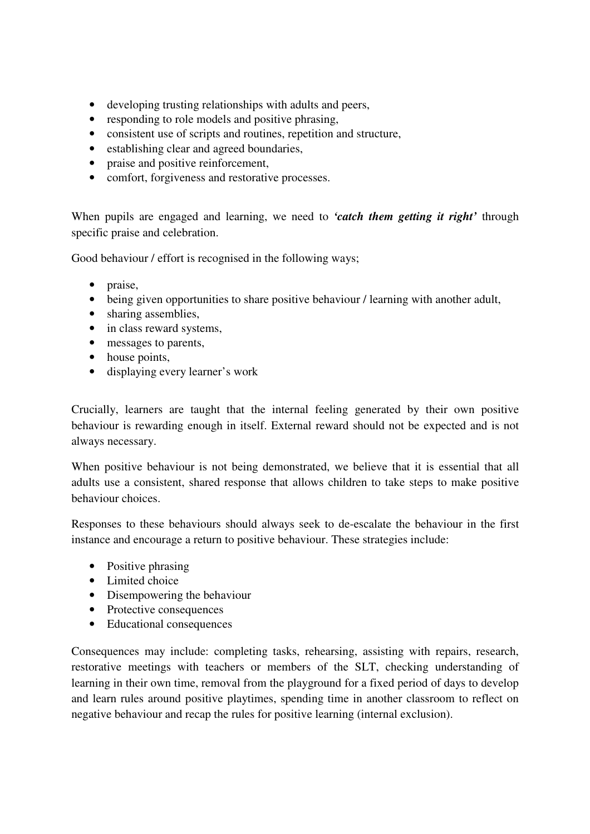- developing trusting relationships with adults and peers,
- responding to role models and positive phrasing,
- consistent use of scripts and routines, repetition and structure,
- establishing clear and agreed boundaries,
- praise and positive reinforcement,
- comfort, forgiveness and restorative processes.

When pupils are engaged and learning, we need to *'catch them getting it right'* through specific praise and celebration.

Good behaviour / effort is recognised in the following ways;

- praise,
- being given opportunities to share positive behaviour / learning with another adult,
- sharing assemblies,
- in class reward systems,
- messages to parents,
- house points,
- displaying every learner's work

Crucially, learners are taught that the internal feeling generated by their own positive behaviour is rewarding enough in itself. External reward should not be expected and is not always necessary.

When positive behaviour is not being demonstrated, we believe that it is essential that all adults use a consistent, shared response that allows children to take steps to make positive behaviour choices.

Responses to these behaviours should always seek to de-escalate the behaviour in the first instance and encourage a return to positive behaviour. These strategies include:

- Positive phrasing
- Limited choice
- Disempowering the behaviour
- Protective consequences
- Educational consequences

Consequences may include: completing tasks, rehearsing, assisting with repairs, research, restorative meetings with teachers or members of the SLT, checking understanding of learning in their own time, removal from the playground for a fixed period of days to develop and learn rules around positive playtimes, spending time in another classroom to reflect on negative behaviour and recap the rules for positive learning (internal exclusion).